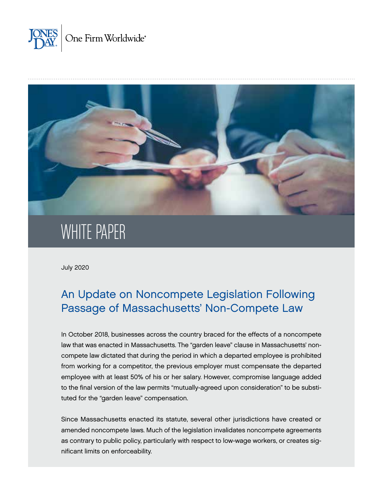



# WHITE PAPER

July 2020

# An Update on Noncompete Legislation Following Passage of Massachusetts' Non-Compete Law

In October 2018, businesses across the country braced for the effects of a noncompete law that was enacted in Massachusetts. The "garden leave" clause in Massachusetts' noncompete law dictated that during the period in which a departed employee is prohibited from working for a competitor, the previous employer must compensate the departed employee with at least 50% of his or her salary. However, compromise language added to the final version of the law permits "mutually-agreed upon consideration" to be substituted for the "garden leave" compensation.

Since Massachusetts enacted its statute, several other jurisdictions have created or amended noncompete laws. Much of the legislation invalidates noncompete agreements as contrary to public policy, particularly with respect to low-wage workers, or creates significant limits on enforceability.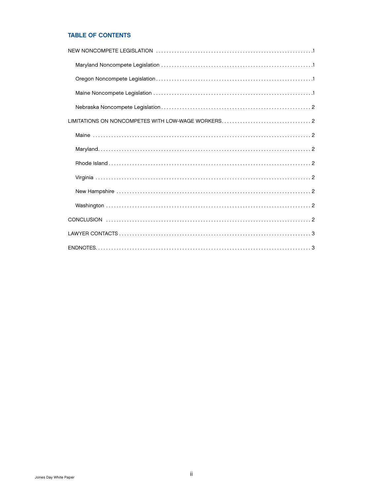### TABLE OF CONTENTS

| LIMITATIONS ON NONCOMPETES WITH LOW-WAGE WORKERS2 |  |
|---------------------------------------------------|--|
|                                                   |  |
|                                                   |  |
|                                                   |  |
|                                                   |  |
|                                                   |  |
|                                                   |  |
|                                                   |  |
|                                                   |  |
|                                                   |  |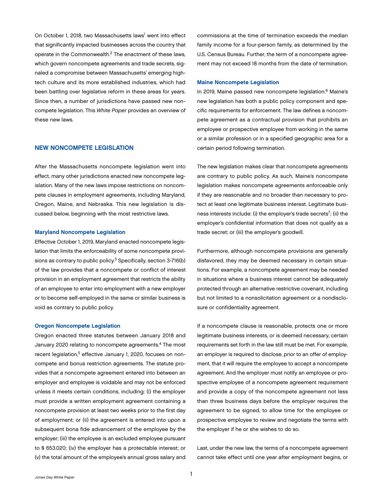<span id="page-2-0"></span>On October 1, 2018, two Massachusetts laws<sup>1</sup> went into effect that significantly impacted businesses across the country that operate in the Commonwealth.2 The enactment of these laws, which govern noncompete agreements and trade secrets, signaled a compromise between Massachusetts' emerging hightech culture and its more established industries, which had been battling over legislative reform in these areas for years. Since then, a number of jurisdictions have passed new noncompete legislation. This *White Paper* provides an overview of these new laws.

#### NEW NONCOMPETE LEGISLATION

After the Massachusetts noncompete legislation went into effect, many other jurisdictions enacted new noncompete legislation. Many of the new laws impose restrictions on noncompete clauses in employment agreements, including Maryland, Oregon, Maine, and Nebraska. This new legislation is discussed below, beginning with the most restrictive laws.

#### Maryland Noncompete Legislation

Effective October 1, 2019, Maryland enacted noncompete legislation that limits the enforceability of some noncompete provisions as contrary to public policy.3 Specifically, section 3-716(b) of the law provides that a noncompete or conflict of interest provision in an employment agreement that restricts the ability of an employee to enter into employment with a new employer or to become self-employed in the same or similar business is void as contrary to public policy.

#### Oregon Noncompete Legislation

Oregon enacted three statutes between January 2018 and January 2020 relating to noncompete agreements.4 The most recent legislation,<sup>5</sup> effective January 1, 2020, focuses on noncompete and bonus restriction agreements. The statute provides that a noncompete agreement entered into between an employer and employee is voidable and may not be enforced unless it meets certain conditions, including: (i) the employer must provide a written employment agreement containing a noncompete provision at least two weeks prior to the first day of employment; or (ii) the agreement is entered into upon a subsequent bona fide advancement of the employee by the employer; (iii) the employee is an excluded employee pursuant to § 653.020; (iv) the employer has a protectable interest; or (v) the total amount of the employee's annual gross salary and

commissions at the time of termination exceeds the median family income for a four-person family, as determined by the U.S. Census Bureau. Further, the term of a noncompete agreement may not exceed 18 months from the date of termination.

#### Maine Noncompete Legislation

In 2019, Maine passed new noncompete legislation.<sup>6</sup> Maine's new legislation has both a public policy component and specific requirements for enforcement. The law defines a noncompete agreement as a contractual provision that prohibits an employee or prospective employee from working in the same or a similar profession or in a specified geographic area for a certain period following termination.

The new legislation makes clear that noncompete agreements are contrary to public policy. As such, Maine's noncompete legislation makes noncompete agreements enforceable only if they are reasonable and no broader than necessary to protect at least one legitimate business interest. Legitimate business interests include: (i) the employer's trade secrets<sup>7</sup>; (ii) the employer's confidential information that does not qualify as a trade secret; or (iii) the employer's goodwill.

Furthermore, although noncompete provisions are generally disfavored, they may be deemed necessary in certain situations. For example, a noncompete agreement may be needed in situations where a business interest cannot be adequately protected through an alternative restrictive covenant, including but not limited to a nonsolicitation agreement or a nondisclosure or confidentiality agreement.

If a noncompete clause is reasonable, protects one or more legitimate business interests, or is deemed necessary, certain requirements set forth in the law still must be met. For example, an employer is required to disclose, prior to an offer of employment, that it will require the employee to accept a noncompete agreement. And the employer must notify an employee or prospective employee of a noncompete agreement requirement and provide a copy of the noncompete agreement not less than three business days before the employer requires the agreement to be signed, to allow time for the employee or prospective employee to review and negotiate the terms with the employer if he or she wishes to do so.

Last, under the new law, the terms of a noncompete agreement cannot take effect until one year after employment begins, or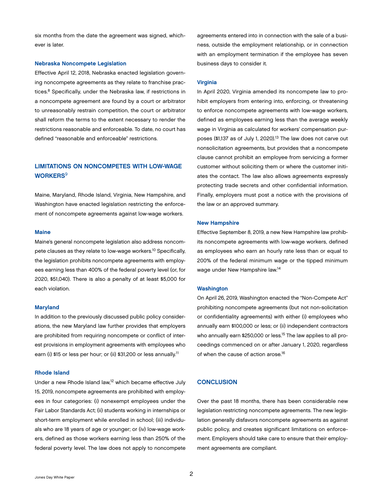<span id="page-3-0"></span>six months from the date the agreement was signed, whichever is later.

#### Nebraska Noncompete Legislation

Effective April 12, 2018, Nebraska enacted legislation governing noncompete agreements as they relate to franchise practices.8 Specifically, under the Nebraska law, if restrictions in a noncompete agreement are found by a court or arbitrator to unreasonably restrain competition, the court or arbitrator shall reform the terms to the extent necessary to render the restrictions reasonable and enforceable. To date, no court has defined "reasonable and enforceable" restrictions.

## LIMITATIONS ON NONCOMPETES WITH LOW-WAGE **WORKERS<sup>9</sup>**

Maine, Maryland, Rhode Island, Virginia, New Hampshire, and Washington have enacted legislation restricting the enforcement of noncompete agreements against low-wage workers.

#### Maine

Maine's general noncompete legislation also address noncompete clauses as they relate to low-wage workers.<sup>10</sup> Specifically, the legislation prohibits noncompete agreements with employees earning less than 400% of the federal poverty level (or, for 2020, \$51,040). There is also a penalty of at least \$5,000 for each violation.

#### Maryland

In addition to the previously discussed public policy considerations, the new Maryland law further provides that employers are prohibited from requiring noncompete or conflict of interest provisions in employment agreements with employees who earn (i) \$15 or less per hour; or (ii) \$31,200 or less annually.<sup>11</sup>

#### Rhode Island

Under a new Rhode Island law,12 which became effective July 15, 2019, noncompete agreements are prohibited with employees in four categories: (i) nonexempt employees under the Fair Labor Standards Act; (ii) students working in internships or short-term employment while enrolled in school; (iii) individuals who are 18 years of age or younger; or (iv) low-wage workers, defined as those workers earning less than 250% of the federal poverty level. The law does not apply to noncompete agreements entered into in connection with the sale of a business, outside the employment relationship, or in connection with an employment termination if the employee has seven business days to consider it.

#### Virginia

In April 2020, Virginia amended its noncompete law to prohibit employers from entering into, enforcing, or threatening to enforce noncompete agreements with low-wage workers, defined as employees earning less than the average weekly wage in Virginia as calculated for workers' compensation purposes (\$1,137 as of July 1, 2020).<sup>13</sup> The law does not carve out nonsolicitation agreements, but provides that a noncompete clause cannot prohibit an employee from servicing a former customer without soliciting them or where the customer initiates the contact. The law also allows agreements expressly protecting trade secrets and other confidential information. Finally, employers must post a notice with the provisions of the law or an approved summary.

#### New Hampshire

Effective September 8, 2019, a new New Hampshire law prohibits noncompete agreements with low-wage workers, defined as employees who earn an hourly rate less than or equal to 200% of the federal minimum wage or the tipped minimum wage under New Hampshire law.14

#### **Washington**

On April 26, 2019, Washington enacted the "Non-Compete Act" prohibiting noncompete agreements (but not non-solicitation or confidentiality agreements) with either (i) employees who annually earn \$100,000 or less; or (ii) independent contractors who annually earn \$250,000 or less.<sup>15</sup> The law applies to all proceedings commenced on or after January 1, 2020, regardless of when the cause of action arose.<sup>16</sup>

#### **CONCLUSION**

Over the past 18 months, there has been considerable new legislation restricting noncompete agreements. The new legislation generally disfavors noncompete agreements as against public policy, and creates significant limitations on enforcement. Employers should take care to ensure that their employment agreements are compliant.